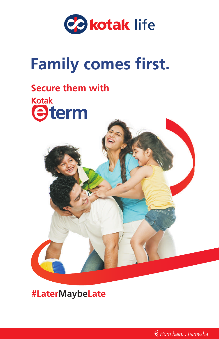

# **Family comes first.**

# **Secure them with**



**#LaterMaybeLate**

Hum hain... hamesha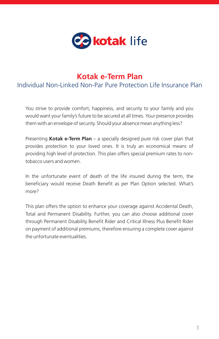

### **Kotak e-Term Plan**

Individual Non-Linked Non-Par Pure Protection Life Insurance Plan

You strive to provide comfort, happiness, and security to your family and you would want your family's future to be secured at all times. Your presence provides them with an envelope of security. Should your absence mean anything less?

Presenting **Kotak e-Term Plan** – a specially designed pure risk cover plan that provides protection to your loved ones. It is truly an economical means of providing high level of protection. This plan offers special premium rates to nontobacco users and women.

In the unfortunate event of death of the life insured during the term, the beneficiary would receive Death Benefit as per Plan Option selected. What's more?

This plan offers the option to enhance your coverage against Accidental Death, Total and Permanent Disability. Further, you can also choose additional cover through Permanent Disability Benefit Rider and Critical Illness Plus Benefit Rider on payment of additional premiums, therefore ensuring a complete cover against the unfortunate eventualities.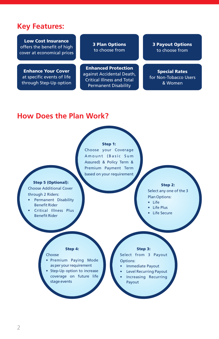### **Key Features:**

Low Cost Insurance offers the benefit of high cover at economical prices

Enhance Your Cover at specific events of life through Step-Up option 3 Plan Options to choose from

Enhanced Protection against Accidental Death, Critical Illness and Total Permanent Disability

3 Payout Options to choose from

#### Special Rates for Non-Tobacco Users & Women

### **How Does the Plan Work?**

#### Step 1:

Choose your Coverage Amount (Basic Sum Assured) & Policy Term & Premium Payment Term based on your requirement

#### Step 5 (Optional):

Choose Additional Cover through 2 Riders:

- Permanent Disability Benefit Rider
- Critical Illness Plus Benefit Rider

#### Step 2:

Select any one of the 3 Plan Options:

- Life
- Life Plus
- **Life Secure**

#### Step 4:

#### Choose

- Premium Paying Mode as per your requirement
- Step-Up option to increase coverage on future life stage events

#### Step 3:

Select from 3 Payout Options:

- Immediate Payout
- **Level Recurring Payout**
- Increasing Recurring Payout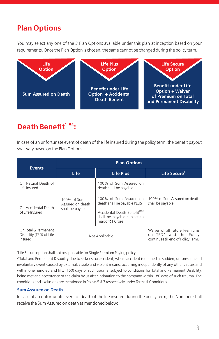# **Plan Options**

You may select any one of the 3 Plan Options available under this plan at inception based on your requirements. Once the Plan Option is chosen, the same cannot be changed during the policy term.



### **1T&C Death Benefit :**

In case of an unfortunate event of death of the life insured during the policy term, the benefit payout shall vary based on the Plan Options.

| <b>Events</b>                                               |                                                     | <b>Plan Options</b>                                                                                                                                     |                                                                                               |  |  |
|-------------------------------------------------------------|-----------------------------------------------------|---------------------------------------------------------------------------------------------------------------------------------------------------------|-----------------------------------------------------------------------------------------------|--|--|
|                                                             | Life                                                | Life Plus                                                                                                                                               | Life Secure <sup>#</sup>                                                                      |  |  |
| On Natural Death of<br>Life Insured                         |                                                     | 100% of Sum Assured on<br>death shall be payable                                                                                                        | 100% of Sum Assured on death<br>shall be payable                                              |  |  |
| On Accidental Death<br>of Life Insured                      | 100% of Sum<br>Assured on death<br>shall be payable | 100% of Sum Assured on<br>death shall be payable PLUS<br>Accidental Death Benefit <sup>2T&amp;C</sup><br>shall be payable subject to<br>max of ₹1 Crore |                                                                                               |  |  |
| On Total & Permanent<br>Disability (TPD) of Life<br>Insured | Not Applicable                                      |                                                                                                                                                         | Waiver of all future Premiums<br>on TPD^ and the Policy<br>continues till end of Policy Term. |  |  |

# Life Secure option shall not be applicable for Single Premium Paying policy

^Total and Permanent Disability due to sickness or accident, where accident is defined as sudden, unforeseen and involuntary event caused by external, visible and violent means, occurring independently of any other causes and within one hundred and fifty (150) days of such trauma, subject to conditions for Total and Permanent Disability, being met and acceptance of the claim by us after intimation to the company within 180 days of such trauma. The conditions and exclusions are mentioned in Points 5 & 7 respectively under Terms & Conditions.

#### **Sum Assured on Death**

In case of an unfortunate event of death of the life insured during the policy term, the Nominee shall receive the Sum Assured on death as mentioned below: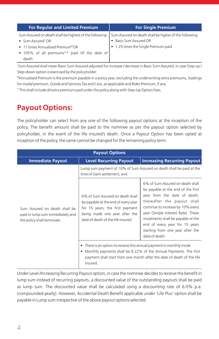| <b>For Regular and Limited Premium</b>                                                                         | <b>For Single Premium</b>            |
|----------------------------------------------------------------------------------------------------------------|--------------------------------------|
| Sum Assured on death shall be highest of the following: Sum Assured on death shall be higher of the following: |                                      |
| • Sum Assured* OR                                                                                              | • Basic Sum Assured OR               |
| • 11 times Annualised Premium <sup>®</sup> OR                                                                  | • 1.25 times the Single Premium paid |
| • 105% of all premiums** paid till the date of                                                                 |                                      |
| death                                                                                                          |                                      |

+ Sum Assured shall mean Basic Sum Assured adjusted for increase / decrease in Basic Sum Assured, in case Step-up / Step-down option is exercised by the policyholder.

@Annualised Premium is the premium payable in a policy year, excluding the underwriting extra premiums, loadings for modal premium, Goods and Services Tax and Cess, as applicable and Rider Premium, if any.

++This shall include all extra premium paid under the policy along with Step-Up Option Fees

# **Payout Options:**

The policyholder can select from any one of the following payout options at the inception of the policy. The benefit amount shall be paid to the nominee as per the payout option selected by policyholder, in the event of the life insured's death. Once a Payout Option has been opted at inception of the policy, the same cannot be changed for the remaining policy term.

| <b>Payout Options</b>                                                                            |                                                                                                                                                                                                                                  |                                                                                                                                                                                                                                                                                                                                                |  |  |
|--------------------------------------------------------------------------------------------------|----------------------------------------------------------------------------------------------------------------------------------------------------------------------------------------------------------------------------------|------------------------------------------------------------------------------------------------------------------------------------------------------------------------------------------------------------------------------------------------------------------------------------------------------------------------------------------------|--|--|
| <b>Immediate Payout</b>                                                                          | <b>Level Recurring Payout</b>                                                                                                                                                                                                    | <b>Increasing Recurring Payout</b>                                                                                                                                                                                                                                                                                                             |  |  |
|                                                                                                  | Lump sum payment of 10% of Sum Assured on death shall be paid at the<br>time of claim settlement, and                                                                                                                            |                                                                                                                                                                                                                                                                                                                                                |  |  |
| Sum Assured on death shall be<br>paid in lump sum immediately and<br>the policy shall terminate. | 6% of Sum Assured on death shall<br>be payable at the end of every year<br>for 15 years; the first payment<br>being made one year after the<br>date of death of the life insured                                                 | 6% of Sum Assured on death shall<br>be payable at the end of the first<br>year from the date of death,<br>thereafter the payout shall<br>continue to increase by 10% every<br>year (Simple Interest Rate). These<br>instalments shall be payable at the<br>end of every year for 15 years<br>starting from one year after the<br>date of death |  |  |
|                                                                                                  | • There is an option to receive this annual payment in monthly mode<br>• Monthly payments shall be 8.22% of the Annual Payments. The first<br>payment shall start from one month after the date of death of the life<br>insured. |                                                                                                                                                                                                                                                                                                                                                |  |  |

Under Level /Increasing Recurring Payout option, in case the nominee decides to receive the benefit in lump sum instead of recurring payouts, a discounted value of the outstanding payouts shall be paid as lump sum. The discounted value shall be calculated using a discounting rate of 6.0% p.a. (compounded yearly). However, Accidental Death Benefit applicable under 'Life Plus' option shall be payable in Lump sum irrespective of the above payout options selected.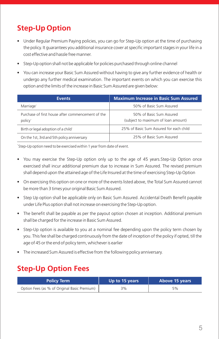# **Step-Up Option**

- Under Regular Premium Paying policies, you can go for Step-Up option at the time of purchasing the policy. It guarantees you additional insurance cover at specific important stages in your life in a cost effective and hassle free manner.
- Step-Up option shall not be applicable for policies purchased through online channel
- You can increase your Basic Sum Assured without having to give any further evidence of health or undergo any further medical examination. The important events on which you can exercise this option and the limits of the increase in Basic Sum Assured are given below:

| <b>Events</b>                                                            | <b>Maximum Increase in Basic Sum Assured</b>                    |
|--------------------------------------------------------------------------|-----------------------------------------------------------------|
| Marriage <sup>-</sup>                                                    | 50% of Basic Sum Assured                                        |
| Purchase of first house after commencement of the<br>policy <sup>-</sup> | 50% of Basic Sum Assured<br>(subject to maximum of loan amount) |
| Birth or legal adoption of a child                                       | 25% of Basic Sum Assured for each child                         |
| On the 1st, 3rd and 5th policy anniversary                               | 25% of Basic Sum Assured                                        |

~ Step-Up option need to be exercised within 1 year from date of event.

- You may exercise the Step-Up option only up to the age of 45 years. Step-Up Option once exercised shall incur additional premium due to increase in Sum Assured. The revised premium shall depend upon the attained age of the Life Insured at the time of exercising Step-Up Option
- On exercising this option on one or more of the events listed above, the Total Sum Assured cannot be more than 3 times your original Basic Sum Assured.
- Step Up option shall be applicable only on Basic Sum Assured. Accidental Death Benefit payable under Life Plus option shall not increase on exercising the Step-Up option.
- The benefit shall be payable as per the payout option chosen at inception. Additional premium shall be charged for the increase in Basic Sum Assured.
- Step-Up option is available to you at a nominal fee depending upon the policy term chosen by you. This fee shall be charged continuously from the date of inception of the policy if opted, till the age of 45 or the end of policy term, whichever is earlier
- The increased Sum Assured is effective from the following policy anniversary.

# **Step-Up Option Fees**

| <b>Policy Term</b>                           | Up to 15 years | Above 15 years |  |
|----------------------------------------------|----------------|----------------|--|
| Option Fees (as % of Original Basic Premium) | 3%             | 5%             |  |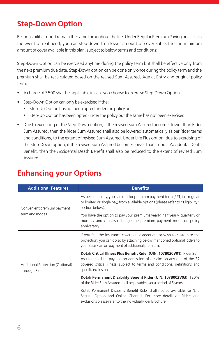# **Step-Down Option**

Responsibilities don't remain the same throughout the life. Under Regular Premium Paying policies, in the event of real need, you can step down to a lower amount of cover subject to the minimum amount of cover available in this plan, subject to below terms and conditions:

Step-Down Option can be exercised anytime during the policy term but shall be effective only from the next premium due date. Step-Down option can be done only once during the policy term and the premium shall be recalculated based on the revised Sum Assured, Age at Entry and original policy term.

- $\;\bullet\;\;$  A charge of  $\bar{\ast}$  500 shall be applicable in case you choose to exercise Step-Down Option
- Step-Down Option can only be exercised if the:
	- Step-Up Option has not been opted under the policy or
	- Step-Up Option has been opted under the policy but the same has not been exercised.
- Due to exercising of the Step-Down option, if the revised Sum Assured becomes lower than Rider Sum Assured, then the Rider Sum Assured shall also be lowered automatically as per Rider terms and conditions, to the extent of revised Sum Assured. Under Life Plus option, due to exercising of the Step-Down option, if the revised Sum Assured becomes lower than in-built Accidental Death Benefit, then the Accidental Death Benefit shall also be reduced to the extent of revised Sum Assured.

| <b>Additional Features</b>                         | <b>Benefits</b>                                                                                                                                                                                                                                      |  |
|----------------------------------------------------|------------------------------------------------------------------------------------------------------------------------------------------------------------------------------------------------------------------------------------------------------|--|
| Convenient premium payment                         | As per suitability, you can opt for premium payment term (PPT) i.e. regular<br>or limited or single pay, from available options (please refer to "Eligibility"<br>section below).                                                                    |  |
| term and modes                                     | You have the option to pay your premiums yearly, half yearly, quarterly or<br>monthly and can also change the premium payment mode on policy<br>anniversary                                                                                          |  |
|                                                    | If you feel the insurance cover is not adequate or wish to customize the<br>protection, you can do so by attaching below mentioned optional Riders to<br>your Base Plan on payment of additional premium:                                            |  |
| Additional Protection (Optional)<br>through Riders | Kotak Critical Illness Plus Benefit Rider (UIN: 107B020V01): Rider Sum<br>Assured shall be payable on admission of a claim on any one of the 37<br>covered critical illness, subject to terms and conditions, definitions and<br>specific exclusions |  |
|                                                    | Kotak Permanent Disability Benefit Rider (UIN: 107B002V03): 120%<br>of the Rider Sum Assured shall be payable over a period of 5 years.                                                                                                              |  |
|                                                    | Kotak Permanent Disability Benefit Rider shall not be available for 'Life<br>Secure' Option and Online Channel. For more details on Riders and<br>exclusions please refer to the Individual Rider Brochure                                           |  |

# **Enhancing your Options**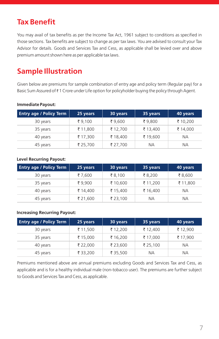# **Tax Benefit**

You may avail of tax benefits as per the Income Tax Act, 1961 subject to conditions as specified in those sections. Tax benefits are subject to change as per tax laws. You are advised to consult your Tax Advisor for details. Goods and Services Tax and Cess, as applicable shall be levied over and above premium amount shown here as per applicable tax laws.

# **Sample Illustration**

Given below are premiums for sample combination of entry age and policy term (Regular pay) for a Basic Sum Assured of  $\bar{\ast}$  1 Crore under Life option for policyholder buying the policy through Agent.

| <b>Entry age / Policy Term</b> | 25 years | 30 years | 35 years | 40 years |
|--------------------------------|----------|----------|----------|----------|
| 30 years                       | ₹9,100   | ₹9,600   | ₹9,800   | ₹ 10,200 |
| 35 years                       | ₹ 11,800 | ₹ 12,700 | ₹ 13,400 | ₹ 14,000 |
| 40 years                       | ₹ 17,300 | ₹ 18,400 | ₹ 19,600 | NА       |
| 45 years                       | ₹ 25,700 | ₹ 27,700 | NА       | NА       |

#### **Immediate Payout:**

#### **Level Recurring Payout:**

| <b>Entry age / Policy Term</b> | 25 years | 30 years | 35 years | 40 years |
|--------------------------------|----------|----------|----------|----------|
| 30 years                       | ₹7,600   | ₹8,100   | ₹8,200   | ₹8,600   |
| 35 years                       | ₹9.900   | ₹ 10,600 | ₹ 11,200 | ₹ 11,800 |
| 40 years                       | ₹ 14,400 | ₹ 15,400 | ₹ 16,400 | NА       |
| 45 years                       | ₹ 21,600 | ₹ 23,100 | NА       | NА       |

#### **Increasing Recurring Payout:**

| <b>Entry age / Policy Term</b> | 25 years | 30 years | 35 years | 40 years |
|--------------------------------|----------|----------|----------|----------|
| 30 years                       | ₹ 11,500 | ₹ 12,200 | ₹ 12,400 | ₹ 12,900 |
| 35 years                       | ₹ 15,000 | ₹ 16,200 | ₹ 17,000 | ₹ 17,900 |
| 40 years                       | ₹ 22,000 | ₹ 23,600 | ₹ 25,100 | NА       |
| 45 years                       | ₹ 33,200 | ₹ 35,500 | NА       | NА       |

Premiums mentioned above are annual premiums excluding Goods and Services Tax and Cess, as applicable and is for a healthy individual male (non-tobacco user). The premiums are further subject to Goods and Services Tax and Cess, as applicable.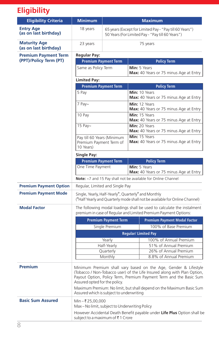# **Eligibility**

| <b>Eligibility Criteria</b>                  | <b>Minimum</b>                                                                                                                                                                                                                                     |                                                                                                             | <b>Maximum</b>                                          |                                                                                                                                           |  |
|----------------------------------------------|----------------------------------------------------------------------------------------------------------------------------------------------------------------------------------------------------------------------------------------------------|-------------------------------------------------------------------------------------------------------------|---------------------------------------------------------|-------------------------------------------------------------------------------------------------------------------------------------------|--|
| <b>Entry Age</b><br>(as on last birthday)    | 18 years                                                                                                                                                                                                                                           | 65 years (Except for Limited Pay - "Pay till 60 Years")<br>50 Years (For Limited Pay - "Pay till 60 Years") |                                                         |                                                                                                                                           |  |
| <b>Maturity Age</b><br>(as on last birthday) | 23 years                                                                                                                                                                                                                                           | 75 years                                                                                                    |                                                         |                                                                                                                                           |  |
| <b>Premium Payment Term</b>                  | <b>Regular Pay:</b>                                                                                                                                                                                                                                |                                                                                                             |                                                         |                                                                                                                                           |  |
| (PPT)/Policy Term (PT)                       | <b>Premium Payment Term</b><br><b>Policy Term</b>                                                                                                                                                                                                  |                                                                                                             |                                                         |                                                                                                                                           |  |
|                                              | Same as Policy Term                                                                                                                                                                                                                                |                                                                                                             | Min: 5 Years<br>Max: 40 Years or 75 minus Age at Entry  |                                                                                                                                           |  |
|                                              | <b>Limited Pay:</b>                                                                                                                                                                                                                                |                                                                                                             |                                                         |                                                                                                                                           |  |
|                                              |                                                                                                                                                                                                                                                    | <b>Premium Payment Term</b>                                                                                 |                                                         | <b>Policy Term</b>                                                                                                                        |  |
|                                              | 5 Pay                                                                                                                                                                                                                                              |                                                                                                             |                                                         | Min: 10 Years<br>Max: 40 Years or 75 minus Age at Entry                                                                                   |  |
|                                              | 7 Pay~                                                                                                                                                                                                                                             |                                                                                                             |                                                         | Min: 12 Years<br>Max: 40 Years or 75 minus Age at Entry                                                                                   |  |
|                                              | 10 Pay                                                                                                                                                                                                                                             |                                                                                                             |                                                         | Min: 15 Years<br>Max: 40 Years or 75 minus Age at Entry                                                                                   |  |
|                                              | 15 Pay~                                                                                                                                                                                                                                            |                                                                                                             |                                                         | Min: 20 Years<br>Max: 40 Years or 75 minus Age at Entry                                                                                   |  |
|                                              | Pay till 60 Years (Minimum<br>Premium Payment Term of<br>10 Years)                                                                                                                                                                                 |                                                                                                             | Min: 15 Years<br>Max: 40 Years or 75 minus Age at Entry |                                                                                                                                           |  |
|                                              | Single Pay:                                                                                                                                                                                                                                        |                                                                                                             |                                                         |                                                                                                                                           |  |
|                                              | <b>Premium Payment Term</b><br><b>Policy Term</b>                                                                                                                                                                                                  |                                                                                                             |                                                         |                                                                                                                                           |  |
|                                              | One Time Payment                                                                                                                                                                                                                                   |                                                                                                             |                                                         | Min: 5 Years<br>Max: 40 Years or 75 minus Age at Entry                                                                                    |  |
|                                              | Note: ~7 and 15 Pay shall not be available for Online Channel                                                                                                                                                                                      |                                                                                                             |                                                         |                                                                                                                                           |  |
| <b>Premium Payment Option</b>                | Regular, Limited and Single Pay                                                                                                                                                                                                                    |                                                                                                             |                                                         |                                                                                                                                           |  |
| <b>Premium Payment Mode</b>                  | Single, Yearly, Half-Yearly®, Quarterly® and Monthly<br>( <sup>®</sup> Half Yearly and Quarterly mode shall not be available for Online Channel)                                                                                                   |                                                                                                             |                                                         |                                                                                                                                           |  |
| <b>Modal Factor</b>                          |                                                                                                                                                                                                                                                    |                                                                                                             |                                                         | The following modal loadings shall be used to calculate the instalment<br>premium in case of Regular and Limited Premium Payment Options: |  |
|                                              | <b>Premium Payment Term</b>                                                                                                                                                                                                                        |                                                                                                             |                                                         | <b>Premium Payment Modal Factor</b>                                                                                                       |  |
|                                              | Single Premium                                                                                                                                                                                                                                     |                                                                                                             |                                                         | 100% of Base Premium                                                                                                                      |  |
|                                              | <b>Regular/Limited Pay</b>                                                                                                                                                                                                                         |                                                                                                             |                                                         |                                                                                                                                           |  |
|                                              | Yearly                                                                                                                                                                                                                                             |                                                                                                             |                                                         | 100% of Annual Premium                                                                                                                    |  |
|                                              | Half-Yearly                                                                                                                                                                                                                                        |                                                                                                             |                                                         | 51% of Annual Premium                                                                                                                     |  |
|                                              | Quarterly                                                                                                                                                                                                                                          |                                                                                                             |                                                         | 26% of Annual Premium                                                                                                                     |  |
|                                              | Monthly                                                                                                                                                                                                                                            |                                                                                                             |                                                         | 8.8% of Annual Premium                                                                                                                    |  |
| <b>Premium</b>                               | Minimum Premium shall vary based on the Age, Gender & Lifestyle<br>(Tobacco / Non-Tobacco user) of the Life Insured along with Plan Option,<br>Payout Option, Policy Term, Premium Payment Term and the Basic Sum<br>Assured opted for the policy. |                                                                                                             |                                                         |                                                                                                                                           |  |
|                                              | Maximum Premium: No limit, but shall depend on the Maximum Basic Sum<br>Assured which is subject to underwriting                                                                                                                                   |                                                                                                             |                                                         |                                                                                                                                           |  |
| <b>Basic Sum Assured</b>                     | Min-₹25,00,000<br>Max-No limit, subject to Underwriting Policy<br>However Accidental Death Benefit payable under Life Plus Option shall be<br>subject to a maximum of ₹1 Crore                                                                     |                                                                                                             |                                                         |                                                                                                                                           |  |
|                                              |                                                                                                                                                                                                                                                    |                                                                                                             |                                                         |                                                                                                                                           |  |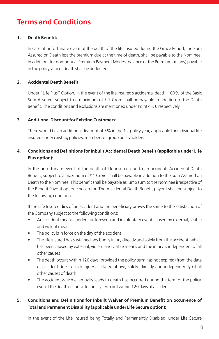# **Terms and Conditions**

#### **1. Death Benefit:**

In case of unfortunate event of the death of the life insured during the Grace Period, the Sum Assured on Death less the premium due at the time of death, shall be payable to the Nominee. In addition, for non-annual Premium Payment Modes, balance of the Premiums (if any) payable in the policy year of death shall be deducted.

#### **2. Accidental Death Benefit:**

Under "Life Plus" Option, in the event of the life insured's accidental death, 100% of the Basic Sum Assured, subject to a maximum of  $\bar{\tau}$  1 Crore shall be payable in addition to the Death Benefit. The conditions and exclusions are mentioned under Point 4 & 6 respectively.

#### **3. Additional Discount for Existing Customers:**

There would be an additional discount of 5% in the 1st policy year, applicable for individual life insured under existing policies, members of group policyholders

### **4. Conditions and Definitions for Inbuilt Accidental Death Benefit (applicable under Life Plus option):**

In the unfortunate event of the death of life insured due to an accident, Accidental Death Benefit, subject to a maximum of  $\bar{\ast}$  1 Crore, shall be payable in addition to the Sum Assured on  $\,$ Death to the Nominee. This benefit shall be payable as lump sum to the Nominee irrespective of the Benefit Payout option chosen for. The Accidental Death Benefit payout shall be subject to the following conditions:

If the Life Insured dies of an accident and the beneficiary proves the same to the satisfaction of the Company subject to the following conditions:

- An accident means sudden, unforeseen and involuntary event caused by external, visible and violent means
- The policy is in force on the day of the accident
- The life insured has sustained any bodily injury directly and solely from the accident, which has been caused by external, violent and visible means and the injury is independent of all other causes
- The death occurs within 120 days (provided the policy term has not expired) from the date of accident due to such injury as stated above, solely, directly and independently of all other causes of death
- The accident which eventually leads to death has occurred during the term of the policy, even if the death occurs after policy term but within 120 days of accident.

### **5. Conditions and Definitions for Inbuilt Waiver of Premium Benefit on occurrence of Total and Permanent Disability (applicable under Life Secure option):**

In the event of the Life Insured being Totally and Permanently Disabled, under Life Secure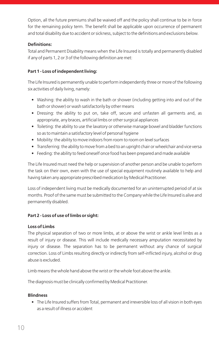Option, all the future premiums shall be waived off and the policy shall continue to be in force for the remaining policy term. The benefit shall be applicable upon occurrence of permanent and total disability due to accident or sickness, subject to the definitions and exclusions below.

#### **Definitions:**

Total and Permanent Disability means when the Life Insured is totally and permanently disabled if any of parts 1, 2 or 3 of the following definition are met:

### **Part 1 - Loss of independent living:**

The Life Insured is permanently unable to perform independently three or more of the following six activities of daily living, namely:

- Washing: the ability to wash in the bath or shower (including getting into and out of the bath or shower) or wash satisfactorily by other means
- Dressing: the ability to put on, take off, secure and unfasten all garments and, as appropriate, any braces, artificial limbs or other surgical appliances
- Toileting: the ability to use the lavatory or otherwise manage bowel and bladder functions so as to maintain a satisfactory level of personal hygiene
- Mobility: the ability to move indoors from room to room on level surfaces
- Transferring: the ability to move from a bed to an upright chair or wheelchair and vice versa
- Feeding: the ability to feed oneself once food has been prepared and made available

The Life Insured must need the help or supervision of another person and be unable to perform the task on their own, even with the use of special equipment routinely available to help and having taken any appropriate prescribed medication by Medical Practitioner.

Loss of independent living must be medically documented for an uninterrupted period of at six months. Proof of the same must be submitted to the Company while the Life Insured is alive and permanently disabled.

#### **Part 2 - Loss of use of limbs or sight:**

#### **Loss of Limbs**

The physical separation of two or more limbs, at or above the wrist or ankle level limbs as a result of injury or disease. This will include medically necessary amputation necessitated by injury or disease. The separation has to be permanent without any chance of surgical correction. Loss of Limbs resulting directly or indirectly from self-inflicted injury, alcohol or drug abuse is excluded.

Limb means the whole hand above the wrist or the whole foot above the ankle.

The diagnosis must be clinically confirmed by Medical Practitioner.

#### **Blindness**

• The Life Insured suffers from Total, permanent and irreversible loss of all vision in both eyes as a result of illness or accident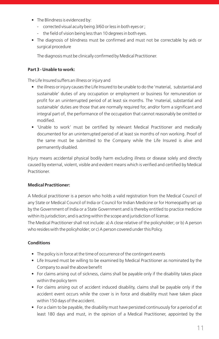- The Blindness is evidenced by:
	- corrected visual acuity being 3/60 or less in both eyes or ;
	- the field of vision being less than 10 degrees in both eyes.
- The diagnosis of blindness must be confirmed and must not be correctable by aids or surgical procedure

The diagnosis must be clinically confirmed by Medical Practitioner.

#### **Part 3 - Unable to work:**

The Life Insured suffers an illness or injury and

- the illness or injury causes the Life Insured to be unable to do the 'material, substantial and sustainable' duties of any occupation or employment or business for remuneration or profit for an uninterrupted period of at least six months. The 'material, substantial and sustainable' duties are those that are normally required for, and/or form a significant and integral part of, the performance of the occupation that cannot reasonably be omitted or modified.
- 'Unable to work' must be certified by relevant Medical Practitioner and medically documented for an uninterrupted period of at least six months of non working. Proof of the same must be submitted to the Company while the Life Insured is alive and permanently disabled.

Injury means accidental physical bodily harm excluding illness or disease solely and directly caused by external, violent, visible and evident means which is verified and certified by Medical **Practitioner** 

#### **Medical Practitioner:**

A Medical practitioner is a person who holds a valid registration from the Medical Council of any State or Medical Council of India or Council for Indian Medicine or for Homeopathy set up by the Government of India or a State Government and is thereby entitled to practice medicine within its jurisdiction; and is acting within the scope and jurisdiction of license.

The Medical Practitioner shall not include: a) A close relative of the policyholder; or b) A person who resides with the policyholder; or c) A person covered under this Policy.

#### **Conditions**

- The policy is in force at the time of occurrence of the contingent events
- Life Insured must be willing to be examined by Medical Practitioner as nominated by the Company to avail the above benefit
- For claims arising out of sickness, claims shall be payable only if the disability takes place within the policy term
- For claims arising out of accident induced disability, claims shall be payable only if the accident event occurs while the cover is in force and disability must have taken place within 150 days of the accident.
- For a claim to be payable, the disability must have persisted continuously for a period of at least 180 days and must, in the opinion of a Medical Practitioner, appointed by the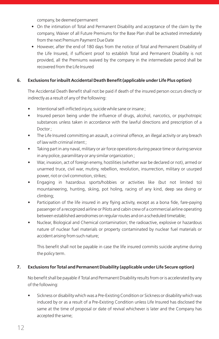company, be deemed permanent

- On the intimation of Total and Permanent Disability and acceptance of the claim by the company, Waiver of all Future Premiums for the Base Plan shall be activated immediately from the next Premium Payment Due Date
- However, after the end of 180 days from the notice of Total and Permanent Disability of the Life Insured, if sufficient proof to establish Total and Permanent Disability is not provided, all the Premiums waived by the company in the intermediate period shall be recovered from the Life Insured

### **6. Exclusions for inbuilt Accidental Death Benefit (applicable under Life Plus option)**

The Accidental Death Benefit shall not be paid if death of the insured person occurs directly or indirectly as a result of any of the following:

- Intentional self-inflicted injury, suicide while sane or insane;
- Insured person being under the influence of drugs, alcohol, narcotics, or psychotropic substances unless taken in accordance with the lawful directions and prescription of a Doctor ;
- The Life Insured committing an assault, a criminal offence, an illegal activity or any breach of law with criminal intent ;
- Taking part in any naval, military or air force operations during peace time or during service in any police, paramilitary or any similar organization ;
- War, invasion, act of foreign enemy, hostilities (whether war be declared or not), armed or unarmed truce, civil war, mutiny, rebellion, revolution, insurrection, military or usurped power, riot or civil commotion, strikes;
- Engaging in hazardous sports/hobbies or activities like (but not limited to) mountaineering, hunting, skiing, pot holing, racing of any kind, deep sea diving or climbing;
- Participation of the life insured in any flying activity, except as a bona fide, fare-paying passenger of a recognized airline or Pilots and cabin crew of a commercial airline operating between established aerodromes on regular routes and on a scheduled timetable;
- Nuclear, Biological and Chemical contamination; the radioactive, explosive or hazardous nature of nuclear fuel materials or property contaminated by nuclear fuel materials or accident arising from such nature;

This benefit shall not be payable in case the life insured commits suicide anytime during the policy term.

#### **7. Exclusions for Total and Permanent Disability (applicable under Life Secure option)**

No benefit shall be payable if Total and Permanent Disability results from or is accelerated by any of the following:

• Sickness or disability which was a Pre-Existing Condition or Sickness or disability which was induced by or as a result of a Pre-Existing Condition unless Life Insured has disclosed the same at the time of proposal or date of revival whichever is later and the Company has accepted the same;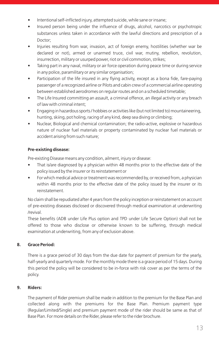- Intentional self-inflicted injury, attempted suicide, while sane or insane;
- Insured person being under the influence of drugs, alcohol, narcotics or psychotropic substances unless taken in accordance with the lawful directions and prescription of a Doctor;
- Injuries resulting from war, invasion, act of foreign enemy, hostilities (whether war be declared or not), armed or unarmed truce, civil war, mutiny, rebellion, revolution, insurrection, military or usurped power, riot or civil commotion, strikes;
- Taking part in any naval, military or air force operation during peace time or during service in any police, paramilitary or any similar organisation;
- Participation of the life insured in any flying activity, except as a bona fide, fare-paying passenger of a recognized airline or Pilots and cabin crew of a commercial airline operating between established aerodromes on regular routes and on a scheduled timetable;
- The Life Insured committing an assault, a criminal offence, an illegal activity or any breach of law with criminal intent;
- Engaging in hazardous sports / hobbies or activities like (but not limited to) mountaineering, hunting, skiing, pot holing, racing of any kind, deep sea diving or climbing;
- Nuclear, Biological and chemical contamination; the radio-active, explosive or hazardous nature of nuclear fuel materials or property contaminated by nuclear fuel materials or accident arising from such nature;

### **Pre-existing disease:**

Pre-existing Disease means any condition, ailment, injury or disease:

- That is/are diagnosed by a physician within 48 months prior to the effective date of the policy issued by the insurer or its reinstatement or
- For which medical advice or treatment was recommended by, or received from, a physician within 48 months prior to the effective date of the policy issued by the insurer or its reinstatement.

No claim shall be repudiated after 4 years from the policy inception or reinstatement on account of pre-existing diseases disclosed or discovered through medical examination at underwriting /revival.

These benefits (ADB under Life Plus option and TPD under Life Secure Option) shall not be offered to those who disclose or otherwise known to be suffering, through medical examination at underwriting, from any of exclusion above.

### **8. Grace Period:**

There is a grace period of 30 days from the due date for payment of premium for the yearly, half-yearly and quarterly mode. For the monthly mode there is a grace period of 15 days. During this period the policy will be considered to be in-force with risk cover as per the terms of the policy.

#### **9. Riders:**

The payment of Rider premium shall be made in addition to the premium for the Base Plan and collected along with the premiums for the Base Plan. Premium payment type (Regular/Limited/Single) and premium payment mode of the rider should be same as that of Base Plan. For more details on the Rider, please refer to the rider brochure.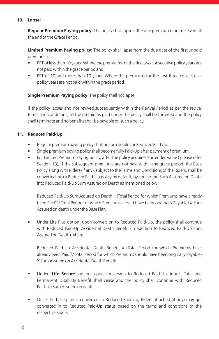#### **10. Lapse:**

**Regular Premium Paying policy:** The policy shall lapse if the due premium is not received till the end of the Grace Period.

**Limited Premium Paying policy:** The policy shall lapse from the due date of the first unpaid premium for:

- PPT of less than 10 years: Where the premiums for the first two consecutive policy years are not paid within the grace period and
- PPT of 10 and more than 10 years: Where the premiums for the first three consecutive policy years are not paid within the grace period

### **Single Premium Paying policy:** The policy shall not lapse

If the policy lapses and not revived subsequently within the Revival Period as per the revival terms and conditions, all the premiums paid under the policy shall be forfeited and the policy shall terminate and no benefits shall be payable on such a policy.

### **11. Reduced Paid-Up:**

- Regular premium paying policy shall not be eligible for Reduced Paid Up.
- Single premium paying policy shall become fully Paid-Up after payment of premium.
- For Limited Premium Paying policy, after the policy acquires Surrender Value ( please refer Section 13), if the subsequent premiums are not paid within the grace period, the Base Policy along with Riders (if any), subject to the Terms and Conditions of the Riders, shall be converted into a Reduced Paid-Up policy by default, by converting Sum Assured on Death into Reduced Paid-Up Sum Assured on Death as mentioned below:

Reduced Paid-Up Sum Assured on Death = (Total Period for which Premiums have already been Paid<sup>##</sup> / Total Period for which Premiums should have been originally Payable) X Sum Assured on death under the Base Plan

Under Life Plus option, upon conversion to Reduced Paid-Up, the policy shall continue with Reduced Paid-Up Accidental Death Benefit (in addition to Reduced Paid-Up Sum Assured on Death) where,

Reduced Paid-Up Accidental Death Benefit = (Total Period for which Premiums have already been Paid<sup>##</sup>/ Total Period for which Premiums should have been originally Payable) X Sum Assured on Accidental Death Benefit.

- Under '**Life Secure**' option, upon conversion to Reduced Paid-Up, inbuilt Total and Permanent Disability Benefit shall cease and the policy shall continue with Reduced Paid-Up Sum Assured on death.
- Once the base plan is converted to Reduced Paid-Up, Riders attached (if any) may get converted in to Reduced Paid-Up status based on the terms and conditions of the respective Riders.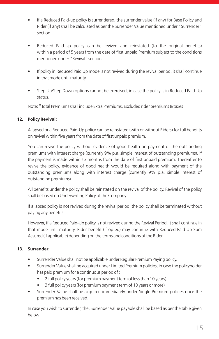- If a Reduced Paid-up policy is surrendered, the surrender value (if any) for Base Policy and Rider (if any) shall be calculated as per the Surrender Value mentioned under "Surrender" section.
- Reduced Paid-Up policy can be revived and reinstated (to the original benefits) within a period of 5 years from the date of first unpaid Premium subject to the conditions mentioned under "Revival" section.
- If policy in Reduced Paid Up mode is not revived during the revival period, it shall continue in that mode until maturity.
- Step Up/Step Down options cannot be exercised, in case the policy is in Reduced Paid-Up status.

Note: ""Total Premiums shall include Extra Premiums, Excluded rider premiums & taxes

#### **12. Policy Revival:**

A lapsed or a Reduced Paid-Up policy can be reinstated (with or without Riders) for full benefits on revival within five years from the date of first unpaid premium.

You can revive the policy without evidence of good health on payment of the outstanding premiums with interest charge (currently 9% p.a. simple interest of outstanding premiums), if the payment is made within six months from the date of first unpaid premium. Thereafter to revive the policy, evidence of good health would be required along with payment of the outstanding premiums along with interest charge (currently 9% p.a. simple interest of outstanding premiums).

All benefits under the policy shall be reinstated on the revival of the policy. Revival of the policy shall be based on Underwriting Policy of the Company.

If a lapsed policy is not revived during the revival period, the policy shall be terminated without paying any benefits.

However, if a Reduced Paid-Up policy is not revived during the Revival Period, it shall continue in that mode until maturity. Rider benefit (if opted) may continue with Reduced Paid-Up Sum Assured (if applicable) depending on the terms and conditions of the Rider.

#### **13. Surrender:**

- Surrender Value shall not be applicable under Regular Premium Paying policy.
- Surrender Value shall be acquired under Limited Premium policies, in case the policyholder has paid premium for a continuous period of :
	- 2 full policy years (for premium payment term of less than 10 years)
	- 3 full policy years (for premium payment term of 10 years or more)
- Surrender Value shall be acquired immediately under Single Premium policies once the premium has been received.

In case you wish to surrender, the, Surrender Value payable shall be based as per the table given below: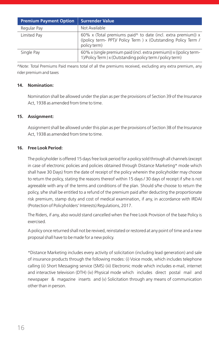| <b>Premium Payment Option</b> | <b>Surrender Value</b>                                                                                                                                 |
|-------------------------------|--------------------------------------------------------------------------------------------------------------------------------------------------------|
| Regular Pay                   | Not Available                                                                                                                                          |
| Limited Pay                   | 60% x (Total premiums paid $\land$ to date (incl. extra premium)) x<br>((policy term- PPT)/ Policy Term ) x (Outstanding Policy Term /<br>policy term) |
| Single Pay                    | 60% x (single premium paid (incl. extra premium)) x ((policy term-<br>1)/Policy Term) x (Outstanding policy term / policy term)                        |

^Note: Total Premiums Paid means total of all the premiums received, excluding any extra premium, any rider premium and taxes

#### **14. Nomination:**

Nomination shall be allowed under the plan as per the provisions of Section 39 of the Insurance Act, 1938 as amended from time to time.

#### **15. Assignment:**

Assignment shall be allowed under this plan as per the provisions of Section 38 of the Insurance Act, 1938 as amended from time to time.

#### **16. Free Look Period:**

The policyholder is offered 15 days free look period for a policy sold through all channels (except in case of electronic policies and policies obtained through Distance Marketing\* mode which shall have 30 Days) from the date of receipt of the policy wherein the policyholder may choose to return the policy, stating the reasons thereof within 15 days / 30 days of receipt if s/he is not agreeable with any of the terms and conditions of the plan. Should s/he choose to return the policy, s/he shall be entitled to a refund of the premium paid after deducting the proportionate risk premium, stamp duty and cost of medical examination, if any, in accordance with IRDAI (Protection of Policyholders' Interests) Regulations, 2017.

The Riders, if any, also would stand cancelled when the Free Look Provision of the base Policy is exercised.

A policy once returned shall not be revived, reinstated or restored at any point of time and a new proposal shall have to be made for a new policy.

\*Distance Marketing includes every activity of solicitation (including lead generation) and sale of insurance products through the following modes: (i) Voice mode, which includes telephone calling (ii) Short Messaging service (SMS) (iii) Electronic mode which includes e-mail, internet and interactive television (DTH) (iv) Physical mode which includes direct postal mail and newspaper & magazine inserts and (v) Solicitation through any means of communication other than in person.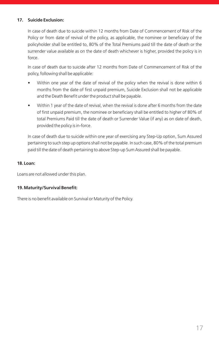### **17. Suicide Exclusion:**

In case of death due to suicide within 12 months from Date of Commencement of Risk of the Policy or from date of revival of the policy, as applicable, the nominee or beneficiary of the policyholder shall be entitled to, 80% of the Total Premiums paid till the date of death or the surrender value available as on the date of death whichever is higher, provided the policy is in force.

In case of death due to suicide after 12 months from Date of Commencement of Risk of the policy, following shall be applicable:

- Within one year of the date of revival of the policy when the revival is done within 6 months from the date of first unpaid premium, Suicide Exclusion shall not be applicable and the Death Benefit under the product shall be payable.
- Within 1 year of the date of revival, when the revival is done after 6 months from the date of first unpaid premium, the nominee or beneficiary shall be entitled to higher of 80% of total Premiums Paid till the date of death or Surrender Value (if any) as on date of death, provided the policy is in-force.

In case of death due to suicide within one year of exercising any Step-Up option, Sum Assured pertaining to such step up options shall not be payable. In such case, 80% of the total premium paid till the date of death pertaining to above Step-up Sum Assured shall be payable.

#### **18. Loan:**

Loans are not allowed under this plan.

#### **19.Maturity/Survival Benefit:**

There is no benefit available on Survival or Maturity of the Policy.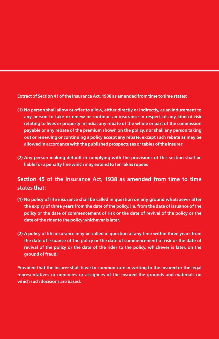**Extract of Section 41 of the Insurance Act, 1938 as amended from time to time states:**

- **(1) No person shall allow or offer to allow, either directly or indirectly, as an inducement to any person to take or renew or continue an insurance in respect of any kind of risk relating to lives or property in India, any rebate of the whole or part of the commission payable or any rebate of the premium shown on the policy, nor shall any person taking out or renewing or continuing a policy accept any rebate, except such rebate as may be allowed in accordance with the published prospectuses or tables of the insurer:**
- **(2) Any person making default in complying with the provisions of this section shall be liable for a penalty fine which may extend to ten lakhs rupees**

### **Section 45 of the insurance Act, 1938 as amended from time to time states that:**

- **(1) No policy of life insurance shall be called in question on any ground whatsoever after the expiry of three years from the date of the policy, i.e. from the date of issuance of the policy or the date of commencement of risk or the date of revival of the policy or the date of the rider to the policy whichever is later.**
- **(2) A policy of life insurance may be called in question at any time within three years from the date of issuance of the policy or the date of commencement of risk or the date of revival of the policy or the date of the rider to the policy, whichever is later, on the ground of fraud:**

**Provided that the insurer shall have to communicate in writing to the insured or the legal representatives or nominees or assignees of the insured the grounds and materials on which such decisions are based.**